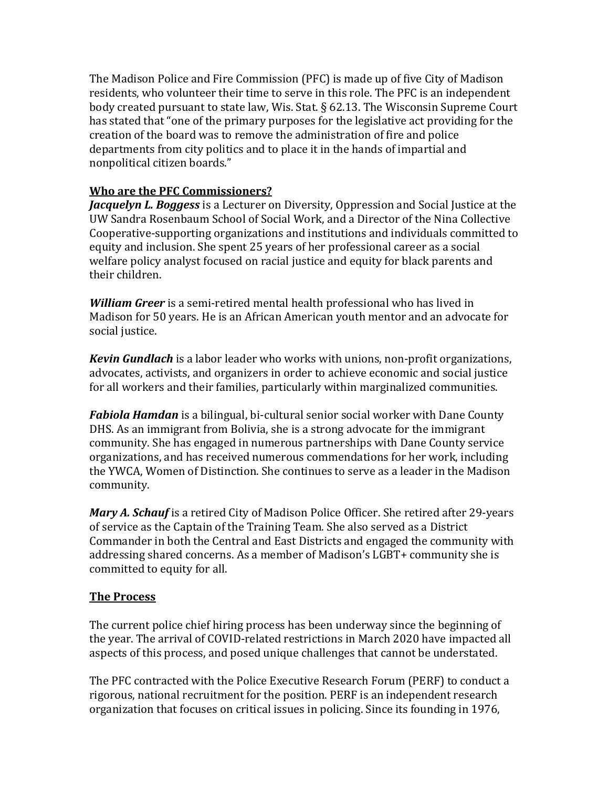The Madison Police and Fire Commission (PFC) is made up of five City of Madison residents, who volunteer their time to serve in this role. The PFC is an independent body created pursuant to state law, Wis. Stat. § 62.13. The Wisconsin Supreme Court has stated that "one of the primary purposes for the legislative act providing for the creation of the board was to remove the administration of fire and police departments from city politics and to place it in the hands of impartial and nonpolitical citizen boards."

## **Who are the PFC Commissioners?**

*Jacquelyn L. Boggess* is a Lecturer on Diversity, Oppression and Social Justice at the UW Sandra Rosenbaum School of Social Work, and a Director of the Nina Collective Cooperative-supporting organizations and institutions and individuals committed to equity and inclusion. She spent 25 years of her professional career as a social welfare policy analyst focused on racial justice and equity for black parents and their children.

*William Greer* is a semi-retired mental health professional who has lived in Madison for 50 years. He is an African American youth mentor and an advocate for social justice.

*Kevin Gundlach* is a labor leader who works with unions, non-profit organizations, advocates, activists, and organizers in order to achieve economic and social justice for all workers and their families, particularly within marginalized communities.

*Fabiola Hamdan* is a bilingual, bi-cultural senior social worker with Dane County DHS. As an immigrant from Bolivia, she is a strong advocate for the immigrant community. She has engaged in numerous partnerships with Dane County service organizations, and has received numerous commendations for her work, including the YWCA, Women of Distinction. She continues to serve as a leader in the Madison community.

*Mary A. Schauf* is a retired City of Madison Police Officer. She retired after 29-years of service as the Captain of the Training Team. She also served as a District Commander in both the Central and East Districts and engaged the community with addressing shared concerns. As a member of Madison's LGBT+ community she is committed to equity for all.

## **The Process**

The current police chief hiring process has been underway since the beginning of the year. The arrival of COVID-related restrictions in March 2020 have impacted all aspects of this process, and posed unique challenges that cannot be understated.

The PFC contracted with the Police Executive Research Forum (PERF) to conduct a rigorous, national recruitment for the position. PERF is an independent research organization that focuses on critical issues in policing. Since its founding in 1976,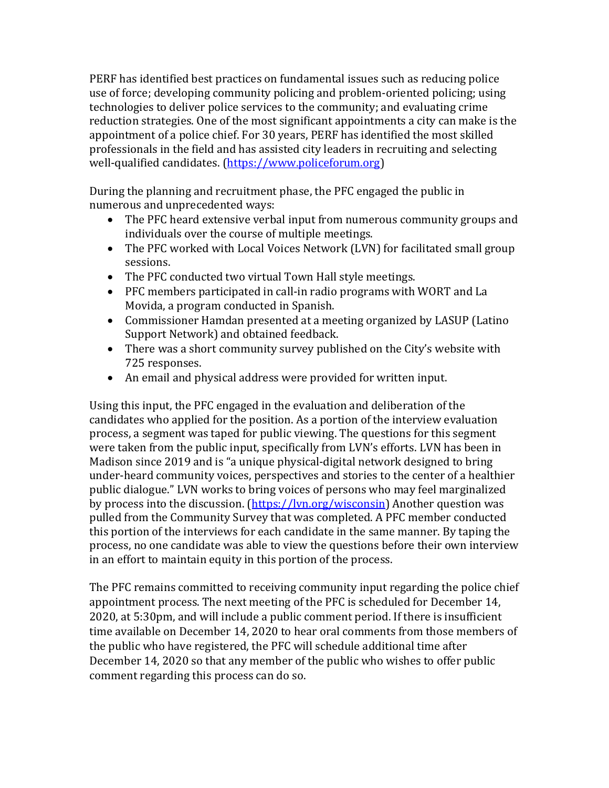PERF has identified best practices on fundamental issues such as reducing police use of force; developing community policing and problem-oriented policing; using technologies to deliver police services to the community; and evaluating crime reduction strategies. One of the most significant appointments a city can make is the appointment of a police chief. For 30 years, PERF has identified the most skilled professionals in the field and has assisted city leaders in recruiting and selecting well-qualified candidates. [\(https://www.policeforum.org\)](https://www.policeforum.org/)

During the planning and recruitment phase, the PFC engaged the public in numerous and unprecedented ways:

- The PFC heard extensive verbal input from numerous community groups and individuals over the course of multiple meetings.
- The PFC worked with Local Voices Network (LVN) for facilitated small group sessions.
- The PFC conducted two virtual Town Hall style meetings.
- PFC members participated in call-in radio programs with WORT and La Movida, a program conducted in Spanish.
- Commissioner Hamdan presented at a meeting organized by LASUP (Latino Support Network) and obtained feedback.
- There was a short community survey published on the City's website with 725 responses.
- An email and physical address were provided for written input.

Using this input, the PFC engaged in the evaluation and deliberation of the candidates who applied for the position. As a portion of the interview evaluation process, a segment was taped for public viewing. The questions for this segment were taken from the public input, specifically from LVN's efforts. LVN has been in Madison since 2019 and is "a unique physical-digital network designed to bring under-heard community voices, perspectives and stories to the center of a healthier public dialogue." LVN works to bring voices of persons who may feel marginalized by process into the discussion. (https://lyn.org/wisconsin) Another question was pulled from the Community Survey that was completed. A PFC member conducted this portion of the interviews for each candidate in the same manner. By taping the process, no one candidate was able to view the questions before their own interview in an effort to maintain equity in this portion of the process.

The PFC remains committed to receiving community input regarding the police chief appointment process. The next meeting of the PFC is scheduled for December 14, 2020, at 5:30pm, and will include a public comment period. If there is insufficient time available on December 14, 2020 to hear oral comments from those members of the public who have registered, the PFC will schedule additional time after December 14, 2020 so that any member of the public who wishes to offer public comment regarding this process can do so.